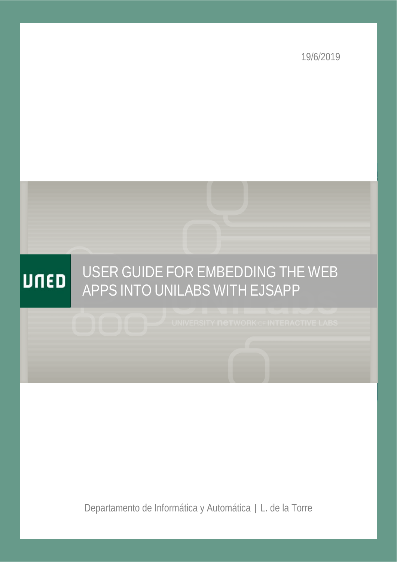19/6/2019



Departamento de Informática y Automática | L. de la Torre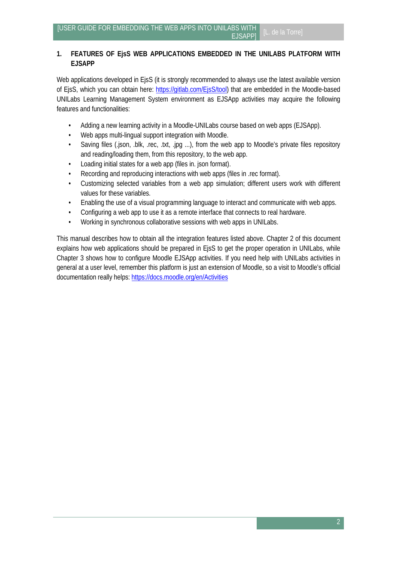## **1. FEATURES OF EjsS WEB APPLICATIONS EMBEDDED IN THE UNILABS PLATFORM WITH EJSAPP**

Web applications developed in EjsS (it is strongly recommended to always use the latest available version of EjsS, which you can obtain here: [https://gitlab.com/EjsS/tool\)](https://gitlab.com/EjsS/tool) that are embedded in the Moodle-based UNILabs Learning Management System environment as EJSApp activities may acquire the following features and functionalities:

- Adding a new learning activity in a Moodle-UNILabs course based on web apps (EJSApp).
- Web apps multi-lingual support integration with Moodle.
- Saving files (.json, .blk, .rec, .txt, .jpg ...), from the web app to Moodle's private files repository and reading/loading them, from this repository, to the web app.
- Loading initial states for a web app (files in. json format).
- Recording and reproducing interactions with web apps (files in .rec format).
- Customizing selected variables from a web app simulation; different users work with different values for these variables.
- Enabling the use of a visual programming language to interact and communicate with web apps.
- Configuring a web app to use it as a remote interface that connects to real hardware.
- Working in synchronous collaborative sessions with web apps in UNILabs.

This manual describes how to obtain all the integration features listed above. Chapter 2 of this document explains how web applications should be prepared in EjsS to get the proper operation in UNILabs, while Chapter 3 shows how to configure Moodle EJSApp activities. If you need help with UNILabs activities in general at a user level, remember this platform is just an extension of Moodle, so a visit to Moodle's official documentation really helps[: https://docs.moodle.org/en/Activities](https://docs.moodle.org/en/Activities)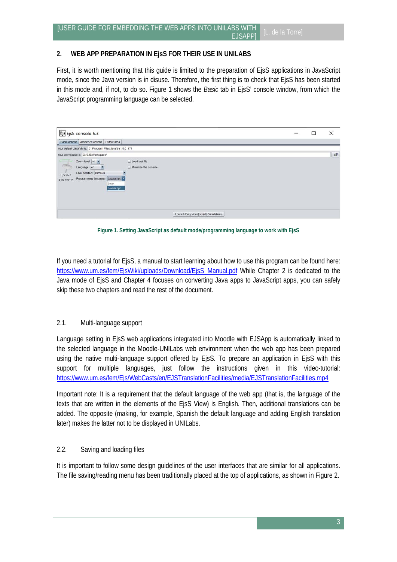### **2. WEB APP PREPARATION IN EjsS FOR THEIR USE IN UNILABS**

First, it is worth mentioning that this guide is limited to the preparation of EjsS applications in JavaScript mode, since the Java version is in disuse. Therefore, the first thing is to check that EjsS has been started in this mode and, if not, to do so. Figure 1 shows the *Basic* tab in EjsS' console window, from which the JavaScript programming language can be selected.

| Ejs EjsS console 5.3                                                                                                                                                                                                                                                                                       | □ | $\times$ |
|------------------------------------------------------------------------------------------------------------------------------------------------------------------------------------------------------------------------------------------------------------------------------------------------------------|---|----------|
| Basic options Advanced options   Output area                                                                                                                                                                                                                                                               |   |          |
| Your default Java VM is: C:\Program Files\Java\jre1.8.0_171<br>Your workspace is: D:/EJSWorkspace/<br>Zoom level: $+1$ *<br>Load last file<br>$\frac{1}{2}$<br>Minimize the console<br>Language: en<br>iz.<br>Look and feel: Nimbus<br>EjsS 6.3<br>Programming language: Javascript<br><b>Build 190417</b> |   | ÷        |
| Java<br>Javascript<br>Launch Easy Java(script) Simulations                                                                                                                                                                                                                                                 |   |          |

**Figure 1. Setting JavaScript as default mode/programming language to work with EjsS**

If you need a tutorial for EjsS, a manual to start learning about how to use this program can be found here: [https://www.um.es/fem/EjsWiki/uploads/Download/EjsS\\_Manual.pdf](https://www.um.es/fem/EjsWiki/uploads/Download/EjsS_Manual.pdf) While Chapter 2 is dedicated to the Java mode of EjsS and Chapter 4 focuses on converting Java apps to JavaScript apps, you can safely skip these two chapters and read the rest of the document.

### 2.1. Multi-language support

Language setting in EjsS web applications integrated into Moodle with EJSApp is automatically linked to the selected language in the Moodle-UNILabs web environment when the web app has been prepared using the native multi-language support offered by EjsS. To prepare an application in EjsS with this support for multiple languages, just follow the instructions given in this video-tutorial: https://www.um.es/fem/Ejs/WebCasts/en/EJSTranslationFacilities/media/EJSTranslationFacilities.mp4

Important note: It is a requirement that the default language of the web app (that is, the language of the texts that are written in the elements of the EjsS View) is English. Then, additional translations can be added. The opposite (making, for example, Spanish the default language and adding English translation later) makes the latter not to be displayed in UNILabs.

### 2.2. Saving and loading files

It is important to follow some design guidelines of the user interfaces that are similar for all applications. The file saving/reading menu has been traditionally placed at the top of applications, as shown in Figure 2.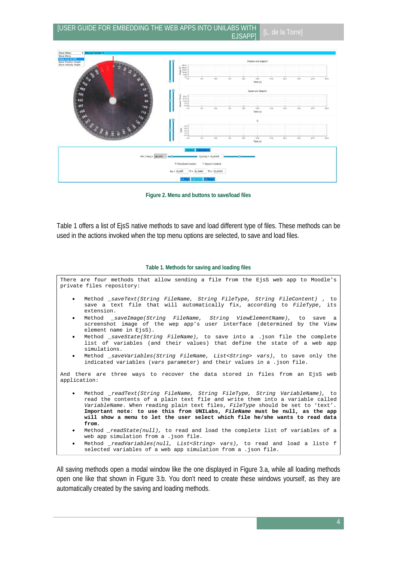

**Figure 2. Menu and buttons to save/load files**

Table 1 offers a list of EjsS native methods to save and load different type of files. These methods can be used in the actions invoked when the top menu options are selected, to save and load files.

#### **Table 1. Methods for saving and loading files**

There are four methods that allow sending a file from the EjsS web app to Moodle's private files repository: • Method *\_saveText(String FileName, String FileType, String FileContent) ,* to save a text file that will automatically fix, according to *FileType*, its extension. • Method *\_saveImage(String FileName, String ViewElementName),* to save a screenshot image of the wep app's user interface (determined by the View element name in EisS). • Method *\_saveState(String FileName),* to save into a .json file the complete list of variables (and their values) that define the state of a web app simulations. • Method *\_saveVariables(String FileName, List<String> vars),* to save only the indicated variables (*vars* parameter) and their values in a .json file. And there are three ways to recover the data stored in files from an EjsS web application: • Method *\_readText(String FileName, String FileType, String VariableName),* to read the contents of a plain text file and write them into a variable called *VariableName*. When reading plain text files, *FileType* should be set to 'text'. **Important note: to use this from UNILabs,** *FileName* **must be null, as the app will show a menu to let the user select which file he/she wants to read data from***.* • Method *\_readState(null),* to read and load the complete list of variables of a web app simulation from a .json file. • Method *\_readVariables(null, List<String> vars),* to read and load a listo f selected variables of a web app simulation from a .json file.

All saving methods open a modal window like the one displayed in Figure 3.a, while all loading methods open one like that shown in Figure 3.b. You don't need to create these windows yourself, as they are automatically created by the saving and loading methods.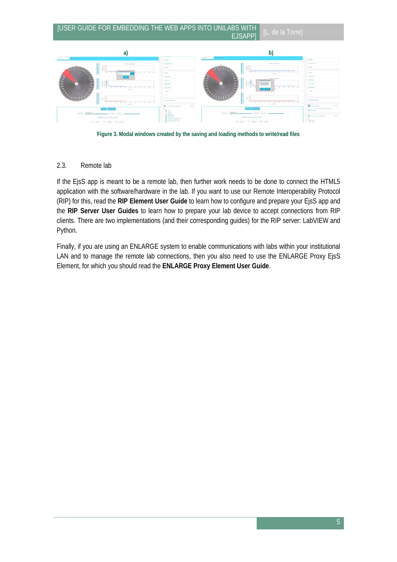

**Figure 3. Modal windows created by the saving and loading methods to write/read files**

### 2.3. Remote lab

If the EjsS app is meant to be a remote lab, then further work needs to be done to connect the HTML5 application with the software/hardware in the lab. If you want to use our Remote Interoperability Protocol (RIP) for this, read the **RIP Element User Guide** to learn how to configure and prepare your EjsS app and the **RIP Server User Guides** to learn how to prepare your lab device to accept connections from RIP clients. There are two implementations (and their corresponding guides) for the RIP server: LabVIEW and Python.

Finally, if you are using an ENLARGE system to enable communications with labs within your institutional LAN and to manage the remote lab connections, then you also need to use the ENLARGE Proxy EjsS Element, for which you should read the **ENLARGE Proxy Element User Guide**.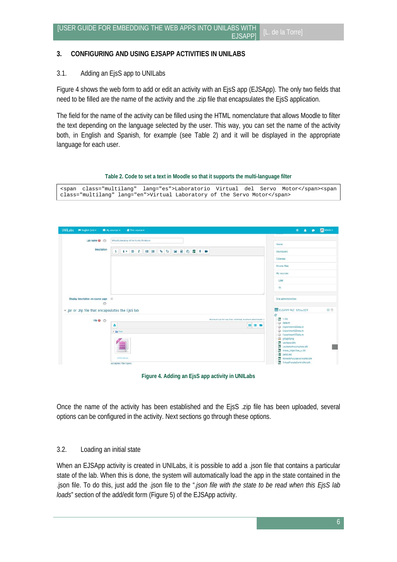## **3. CONFIGURING AND USING EJSAPP ACTIVITIES IN UNILABS**

## 3.1. Adding an EjsS app to UNILabs

Figure 4 shows the web form to add or edit an activity with an EjsS app (EJSApp). The only two fields that need to be filled are the name of the activity and the .zip file that encapsulates the EjsS application.

The field for the name of the activity can be filled using the HTML nomenclature that allows Moodle to filter the text depending on the language selected by the user. This way, you can set the name of the activity both, in English and Spanish, for example (see Table 2) and it will be displayed in the appropriate language for each user.

**Table 2. Code to set a text in Moodle so that it supports the multi-language filter**

|                                                                   |  |  |  | <span class="multilang" lang="es">Laboratorio Virtual del Servo Motor</span> <span< th=""></span<> |
|-------------------------------------------------------------------|--|--|--|----------------------------------------------------------------------------------------------------|
| class="multilang" lang="en">Virtual Laboratory of the Servo Motor |  |  |  |                                                                                                    |

| UNILabs M English (en) >                             | <b>BE</b> My courses »<br><b>D</b> This course                                          | $\bullet$<br>$\blacksquare$<br>$\bullet$                                                                                                                     | Admin + |
|------------------------------------------------------|-----------------------------------------------------------------------------------------|--------------------------------------------------------------------------------------------------------------------------------------------------------------|---------|
|                                                      | Virtual Laboratory of the Furuta Pendulum                                               | Home                                                                                                                                                         |         |
| Description                                          | 1 i * B I E E & S E B O E & M                                                           | Dashboard                                                                                                                                                    |         |
|                                                      |                                                                                         | Calendar                                                                                                                                                     |         |
|                                                      |                                                                                         | Private files                                                                                                                                                |         |
|                                                      |                                                                                         | My courses                                                                                                                                                   |         |
|                                                      |                                                                                         | LPM                                                                                                                                                          |         |
|                                                      |                                                                                         | TS.                                                                                                                                                          |         |
| Display description on course page<br>$\circledcirc$ |                                                                                         | Site administration                                                                                                                                          |         |
| - jar or .zip file that encapsulates the EjsS lab    |                                                                                         | E EJSAPP FLE BROWSER                                                                                                                                         | 日田      |
| File <sub>(D</sub> )                                 | Miximum size for new files: Unlimited, miximum attachments: 1<br>٨<br>田田島<br>> Ell Film | с<br><b>Ba</b> 1.0k<br>C data.m<br>-C Experiment1Data.m<br>Experiment2Data.m<br>C Experiment3Data.m<br>gdsgstpng                                             |         |
|                                                      | É<br>virthinuta.rip<br>Accepted file types:                                             | Levitator.blk<br><b>M</b> Levitatorincomplete.blk<br>to move_objective_x,blk<br>pend.rec<br>Ŝa.<br>RemoteFurutaController.blk<br>VirtualFurutaController.blk |         |



Once the name of the activity has been established and the EjsS .zip file has been uploaded, several options can be configured in the activity. Next sections go through these options.

### 3.2. Loading an initial state

When an EJSApp activity is created in UNILabs, it is possible to add a .json file that contains a particular state of the lab. When this is done, the system will automatically load the app in the state contained in the .json file. To do this, just add the .json file to the "*.json file with the state to be read when this EjsS lab loads*" section of the add/edit form (Figure 5) of the EJSApp activity.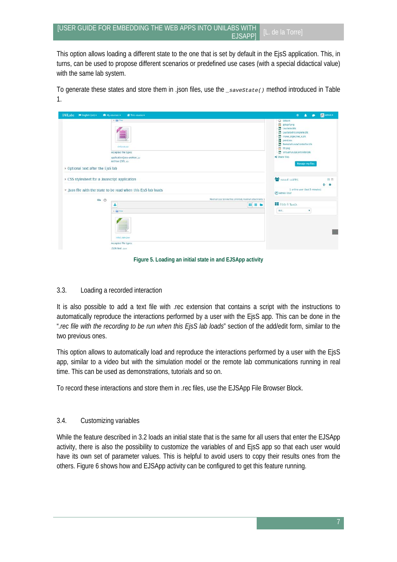This option allows loading a different state to the one that is set by default in the EjsS application. This, in turns, can be used to propose different scenarios or predefined use cases (with a special didactical value) with the same lab system.

To generate these states and store them in .json files, use the *\_saveState()* method introduced in Table 1.

| <b>UNILabs</b><br><b>P English (en) &gt;</b> | <b>BE</b> My courses ><br><b>B</b> This course                                                            | Admin +<br>$\bullet$<br>$\bullet$                                                                                                                                                                                                                                             |
|----------------------------------------------|-----------------------------------------------------------------------------------------------------------|-------------------------------------------------------------------------------------------------------------------------------------------------------------------------------------------------------------------------------------------------------------------------------|
| ▶ Optional text after the EjsS lab           | » ill film<br>virtferuta.zip<br>Accepted file types:<br>application java-archive Jar<br>Archive (ZIP) Jo. | C data.m<br>gdsgsf.png<br><b>Ja Levitatorbik</b><br>胍<br>Levitatorincomplete.blk<br>86.<br>move_objective_x.blk<br><b>BB</b> pend.rec<br><b>State RemoteFundtaController.blk</b><br>ttt.png<br>WirtualFurutaController.blk<br><<<<<<<<<<<<<<<<<<<<<<<<<<<<<br>Manage my files |
|                                              |                                                                                                           |                                                                                                                                                                                                                                                                               |
| CSS stylesheet for a Javascript application  | - .json file with the state to be read when this EjsS lab loads                                           | <b>ON OUR LISERS</b><br>日回<br>$+$ $0$<br>1 online user (last 5 minutes)<br>Admin User                                                                                                                                                                                         |
| File <sup>(2)</sup>                          | Maximum size for new files: Unlimited, maximum attachments: 1                                             |                                                                                                                                                                                                                                                                               |
|                                              | ۸<br>田田島<br>$+$ Cd First<br>initial_state.json<br>Accepted file types:<br>JSON text json                  | <b>BE</b> ADD A BLOCK<br>Add.,<br>$\mathbf{v}$                                                                                                                                                                                                                                |

**Figure 5. Loading an initial state in and EJSApp activity**

### 3.3. Loading a recorded interaction

It is also possible to add a text file with .rec extension that contains a script with the instructions to automatically reproduce the interactions performed by a user with the EjsS app. This can be done in the "*.rec file with the recording to be run when this EjsS lab loads*" section of the add/edit form, similar to the two previous ones.

This option allows to automatically load and reproduce the interactions performed by a user with the EjsS app, similar to a video but with the simulation model or the remote lab communications running in real time. This can be used as demonstrations, tutorials and so on.

To record these interactions and store them in .rec files, use the EJSApp File Browser Block.

## 3.4. Customizing variables

While the feature described in 3.2 loads an initial state that is the same for all users that enter the EJSApp activity, there is also the possibility to customize the variables of and EjsS app so that each user would have its own set of parameter values. This is helpful to avoid users to copy their results ones from the others. Figure 6 shows how and EJSApp activity can be configured to get this feature running.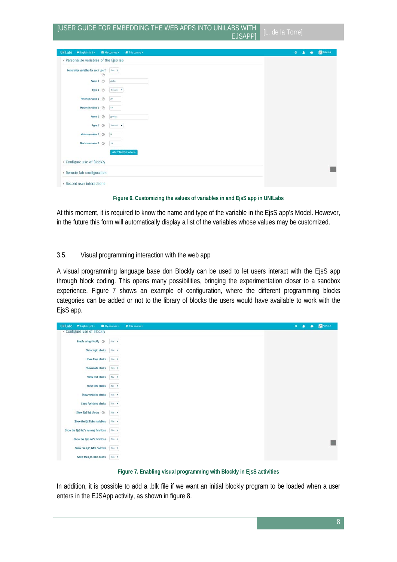| UNILabs <b>MEnglish</b> (en) >                         | Ny courses ><br><b>A</b> This course | Manin ><br>$\bullet$<br>А<br>٠ |
|--------------------------------------------------------|--------------------------------------|--------------------------------|
| - Personalize variables of the EjsS lab                |                                      |                                |
| Personalize variables for each user?<br>$\circledcirc$ | Yes. v                               |                                |
| Name 1 <sup></sup>                                     | alpha                                |                                |
| Type $1 \circledcirc$                                  | Double <b>v</b>                      |                                |
| Minimum value 1 <sup>(b)</sup>                         | 20                                   |                                |
| Maximum value 1 <sup>(2)</sup>                         | $4.0$                                |                                |
| Name 2 <sup>(b)</sup>                                  | gravity                              |                                |
| Type $2 \circledcirc$                                  | Double <b>v</b>                      |                                |
| Minimum value 2 3                                      | $\frac{1}{2}$                        |                                |
| Maximum value 2 (D)                                    | 10                                   |                                |
|                                                        | Add 2 field(s) to form               |                                |
| Configure use of Blockly                               |                                      |                                |
| Remote lab configuration                               |                                      |                                |
| Record user interactions                               |                                      |                                |

**Figure 6. Customizing the values of variables in and EjsS app in UNILabs**

At this moment, it is required to know the name and type of the variable in the EjsS app's Model. However, in the future this form will automatically display a list of the variables whose values may be customized.

### 3.5. Visual programming interaction with the web app

A visual programming language base don Blockly can be used to let users interact with the EjsS app through block coding. This opens many possibilities, bringing the experimentation closer to a sandbox experience. Figure 7 shows an example of configuration, where the different programming blocks categories can be added or not to the library of blocks the users would have available to work with the EjsS app.

| UNILabs M English (en) >              | <b>BE</b> My courses > | <b>P</b> This course > | $\bullet$ | л | $\blacksquare$ | Relation > |
|---------------------------------------|------------------------|------------------------|-----------|---|----------------|------------|
| - Configure use of Blockly            |                        |                        |           |   |                |            |
| Enable using Blockly (D)              | Yes v                  |                        |           |   |                |            |
| Show logic blocks                     | Yes . v                |                        |           |   |                |            |
| Show loop blocks                      | Yes: v                 |                        |           |   |                |            |
| Show math blocks                      | Yes T                  |                        |           |   |                |            |
| Show text blocks                      | $No - 7$               |                        |           |   |                |            |
| Show lists blocks                     | $N\alpha - \mathbf{v}$ |                        |           |   |                |            |
| Show variables blocks                 | Yes: v                 |                        |           |   |                |            |
| Show functions blocks                 | Yes .                  |                        |           |   |                |            |
| Show EjsS lab blocks (D)              | Yes: v                 |                        |           |   |                |            |
| Show the EjsS lab's variables         | Yes W                  |                        |           |   |                |            |
| Show the EjsS lab's running functions | Yes: v                 |                        |           |   |                |            |
| Show the EjsS lab's functions         | Yes T                  |                        |           |   |                |            |
| Show the EjsS lab's controls          | Yes . v                |                        |           |   |                |            |
| Show the EjsS lab's charts            | Yes v                  |                        |           |   |                |            |

**Figure 7. Enabling visual programming with Blockly in EjsS activities**

In addition, it is possible to add a .blk file if we want an initial blockly program to be loaded when a user enters in the EJSApp activity, as shown in figure 8.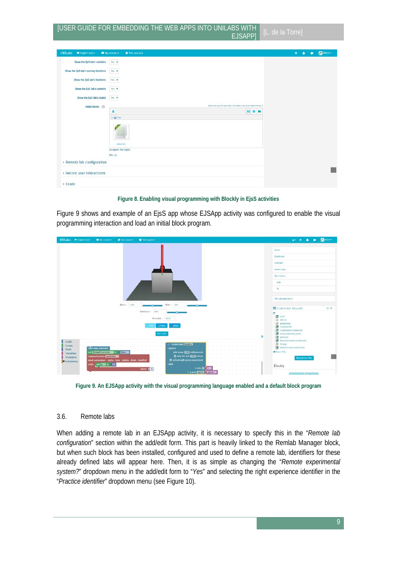# [USER GUIDE FOR EMBEDDING THE WEB APPS INTO UNILABS WITH

| UNILabs MEnglish (en) >               | My courses<br><b>B</b> This course <b>&gt;</b>   |                                                               | Admin<br>$\bullet$<br>$\bullet$<br>$\bullet$ |
|---------------------------------------|--------------------------------------------------|---------------------------------------------------------------|----------------------------------------------|
| Show the EjsS lab's variables         | Yes v                                            |                                                               |                                              |
| Show the EjsS lab's running functions | Yes. x                                           |                                                               |                                              |
| Show the EjsS lab's functions         | Ves v                                            |                                                               |                                              |
| Show the EjsS lab's controls          | Yes v                                            |                                                               |                                              |
| Show the EjsS lab's charts Yes        |                                                  |                                                               |                                              |
| initial blocks (                      |                                                  | Maximum size for new files: Unlimited, maximum attachments: 3 |                                              |
|                                       | Δ                                                | 田田田                                                           |                                              |
|                                       | cefault blk<br>Accepted file types:<br>File .blk |                                                               |                                              |
| Remote lab configuration              |                                                  |                                                               |                                              |
| » Record user interactions            |                                                  |                                                               |                                              |
| > Grade                               |                                                  |                                                               |                                              |

**Figure 8. Enabling visual programming with Blockly in EjsS activities**

Figure 9 shows and example of an EjsS app whose EJSApp activity was configured to enable the visual programming interaction and load an initial block program.



**Figure 9. An EJSApp activity with the visual programming language enabled and a default block program**

#### 3.6. Remote labs

When adding a remote lab in an EJSApp activity, it is necessary to specify this in the "*Remote lab configuration*" section within the add/edit form. This part is heavily linked to the Remlab Manager block, but when such block has been installed, configured and used to define a remote lab, identifiers for these already defined labs will appear here. Then, it is as simple as changing the "*Remote experimental system?*" dropdown menu in the add/edit form to "*Yes*" and selecting the right experience identifier in the "*Practice identifier*" dropdown menu (see Figure 10).